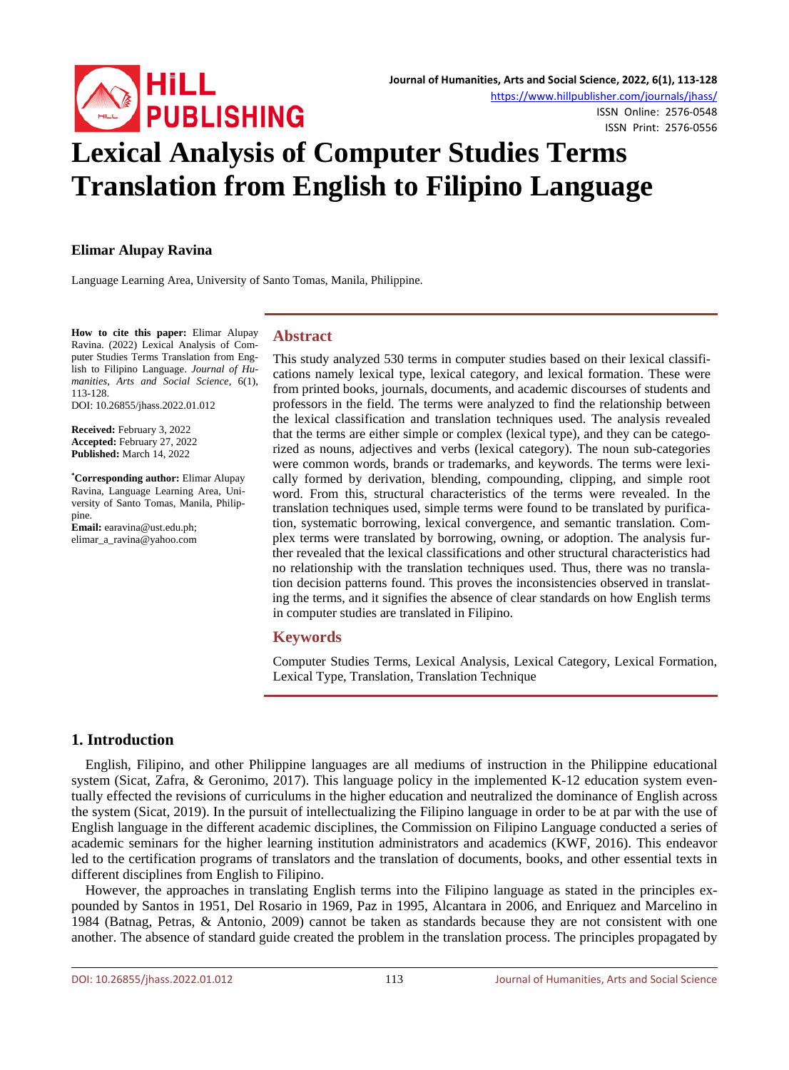

<https://www.hillpublisher.com/journals/jhass/>

ISSN Online: 2576-0548 ISSN Print: 2576-0556

# **Lexical Analysis of Computer Studies Terms Translation from English to Filipino Language**

## **Elimar Alupay Ravina**

Language Learning Area, University of Santo Tomas, Manila, Philippine.

**How to cite this paper:** Elimar Alupay Ravina. (2022) Lexical Analysis of Computer Studies Terms Translation from English to Filipino Language. *Journal of Humanities, Arts and Social Science*, 6(1), 113-128.

DOI: 10.26855/jhass.2022.01.012

**Received:** February 3, 2022 **Accepted:** February 27, 2022 **Published:** March 14, 2022

**\* Corresponding author:** Elimar Alupay Ravina, Language Learning Area, University of Santo Tomas, Manila, Philippine. **Email:** earavina@ust.edu.ph;

elimar\_a\_ravina@yahoo.com

## **Abstract**

This study analyzed 530 terms in computer studies based on their lexical classifications namely lexical type, lexical category, and lexical formation. These were from printed books, journals, documents, and academic discourses of students and professors in the field. The terms were analyzed to find the relationship between the lexical classification and translation techniques used. The analysis revealed that the terms are either simple or complex (lexical type), and they can be categorized as nouns, adjectives and verbs (lexical category). The noun sub-categories were common words, brands or trademarks, and keywords. The terms were lexically formed by derivation, blending, compounding, clipping, and simple root word. From this, structural characteristics of the terms were revealed. In the translation techniques used, simple terms were found to be translated by purification, systematic borrowing, lexical convergence, and semantic translation. Complex terms were translated by borrowing, owning, or adoption. The analysis further revealed that the lexical classifications and other structural characteristics had no relationship with the translation techniques used. Thus, there was no translation decision patterns found. This proves the inconsistencies observed in translating the terms, and it signifies the absence of clear standards on how English terms in computer studies are translated in Filipino.

## **Keywords**

Computer Studies Terms, Lexical Analysis, Lexical Category, Lexical Formation, Lexical Type, Translation, Translation Technique

# **1. Introduction**

English, Filipino, and other Philippine languages are all mediums of instruction in the Philippine educational system (Sicat, Zafra, & Geronimo, 2017). This language policy in the implemented K-12 education system eventually effected the revisions of curriculums in the higher education and neutralized the dominance of English across the system (Sicat, 2019). In the pursuit of intellectualizing the Filipino language in order to be at par with the use of English language in the different academic disciplines, the Commission on Filipino Language conducted a series of academic seminars for the higher learning institution administrators and academics (KWF, 2016). This endeavor led to the certification programs of translators and the translation of documents, books, and other essential texts in different disciplines from English to Filipino.

However, the approaches in translating English terms into the Filipino language as stated in the principles expounded by Santos in 1951, Del Rosario in 1969, Paz in 1995, Alcantara in 2006, and Enriquez and Marcelino in 1984 (Batnag, Petras, & Antonio, 2009) cannot be taken as standards because they are not consistent with one another. The absence of standard guide created the problem in the translation process. The principles propagated by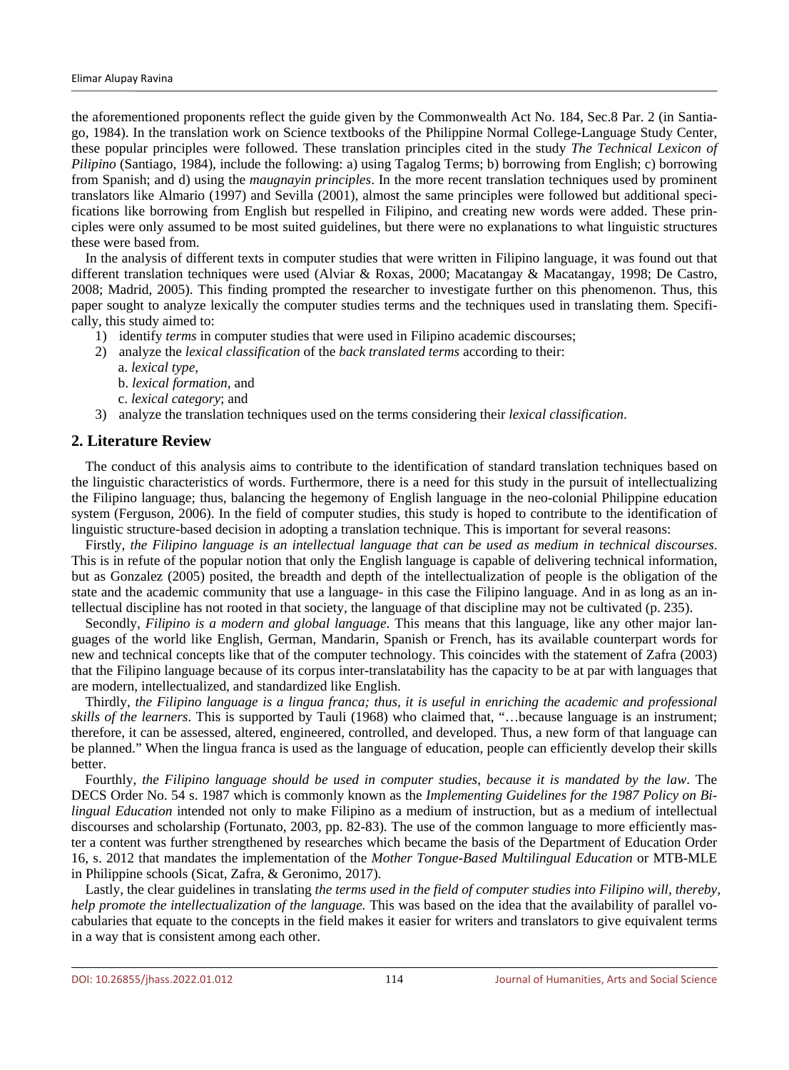the aforementioned proponents reflect the guide given by the Commonwealth Act No. 184, Sec.8 Par. 2 (in Santiago, 1984). In the translation work on Science textbooks of the Philippine Normal College-Language Study Center, these popular principles were followed. These translation principles cited in the study *The Technical Lexicon of Pilipino* (Santiago, 1984), include the following: a) using Tagalog Terms; b) borrowing from English; c) borrowing from Spanish; and d) using the *maugnayin principles*. In the more recent translation techniques used by prominent translators like Almario (1997) and Sevilla (2001), almost the same principles were followed but additional specifications like borrowing from English but respelled in Filipino, and creating new words were added. These principles were only assumed to be most suited guidelines, but there were no explanations to what linguistic structures these were based from.

In the analysis of different texts in computer studies that were written in Filipino language, it was found out that different translation techniques were used (Alviar & Roxas, 2000; Macatangay & Macatangay, 1998; De Castro, 2008; Madrid, 2005). This finding prompted the researcher to investigate further on this phenomenon. Thus, this paper sought to analyze lexically the computer studies terms and the techniques used in translating them. Specifically, this study aimed to:

- 1) identify *terms* in computer studies that were used in Filipino academic discourses;
- 2) analyze the *lexical classification* of the *back translated terms* according to their: a. *lexical type*,
	- b. *lexical formation*, and
	- c. *lexical category*; and
- 3) analyze the translation techniques used on the terms considering their *lexical classification*.

## **2. Literature Review**

The conduct of this analysis aims to contribute to the identification of standard translation techniques based on the linguistic characteristics of words. Furthermore, there is a need for this study in the pursuit of intellectualizing the Filipino language; thus, balancing the hegemony of English language in the neo-colonial Philippine education system (Ferguson, 2006). In the field of computer studies, this study is hoped to contribute to the identification of linguistic structure-based decision in adopting a translation technique. This is important for several reasons:

Firstly, *the Filipino language is an intellectual language that can be used as medium in technical discourses*. This is in refute of the popular notion that only the English language is capable of delivering technical information, but as Gonzalez (2005) posited, the breadth and depth of the intellectualization of people is the obligation of the state and the academic community that use a language- in this case the Filipino language. And in as long as an intellectual discipline has not rooted in that society, the language of that discipline may not be cultivated (p. 235).

Secondly, *Filipino is a modern and global language*. This means that this language, like any other major languages of the world like English, German, Mandarin, Spanish or French, has its available counterpart words for new and technical concepts like that of the computer technology. This coincides with the statement of Zafra (2003) that the Filipino language because of its corpus inter-translatability has the capacity to be at par with languages that are modern, intellectualized, and standardized like English.

Thirdly, the Filipino language is a lingua franca; thus, it is useful in enriching the academic and professional *skills of the learners*. This is supported by Tauli (1968) who claimed that, "…because language is an instrument; therefore, it can be assessed, altered, engineered, controlled, and developed. Thus, a new form of that language can be planned." When the lingua franca is used as the language of education, people can efficiently develop their skills better.

Fourthly, *the Filipino language should be used in computer studies, because it is mandated by the law*. The DECS Order No. 54 s. 1987 which is commonly known as the *Implementing Guidelines for the 1987 Policy on Bilingual Education* intended not only to make Filipino as a medium of instruction, but as a medium of intellectual discourses and scholarship (Fortunato, 2003, pp. 82-83). The use of the common language to more efficiently master a content was further strengthened by researches which became the basis of the Department of Education Order 16, s. 2012 that mandates the implementation of the *Mother Tongue-Based Multilingual Education* or MTB-MLE in Philippine schools (Sicat, Zafra, & Geronimo, 2017).

Lastly, the clear guidelines in translating *the terms used in the field of computer studies into Filipino will, thereby, help promote the intellectualization of the language.* This was based on the idea that the availability of parallel vocabularies that equate to the concepts in the field makes it easier for writers and translators to give equivalent terms in a way that is consistent among each other.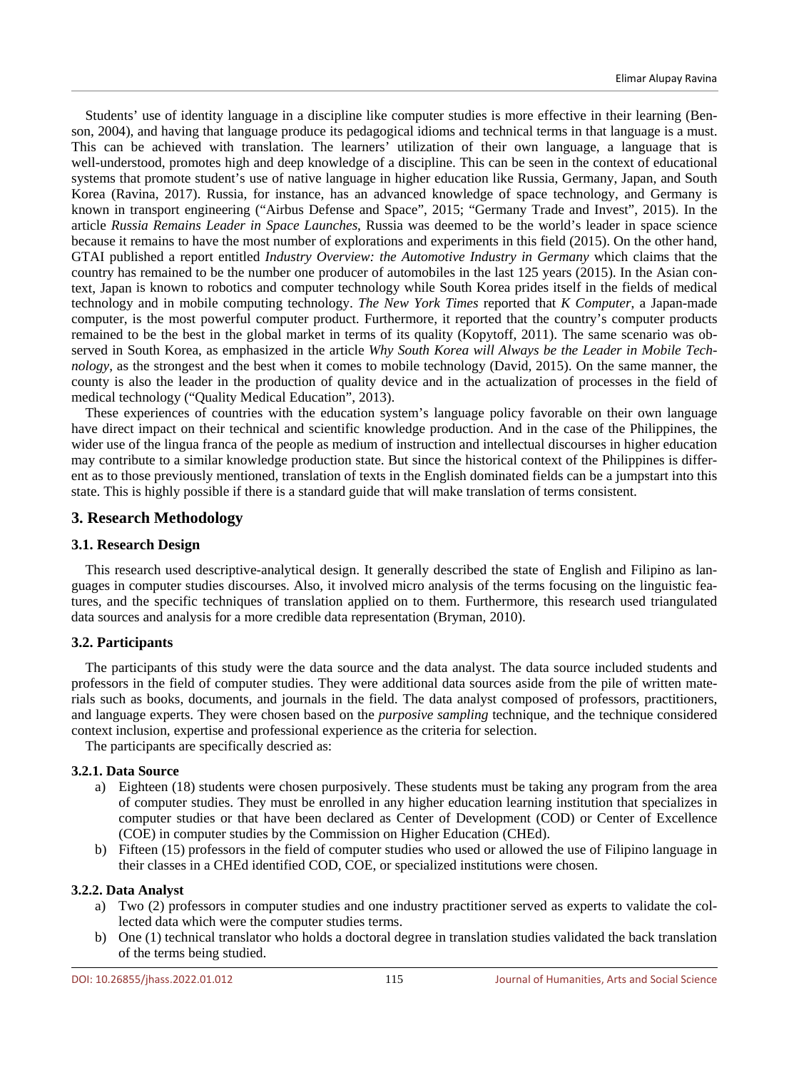Students' use of identity language in a discipline like computer studies is more effective in their learning (Benson, 2004), and having that language produce its pedagogical idioms and technical terms in that language is a must. This can be achieved with translation. The learners' utilization of their own language, a language that is well-understood, promotes high and deep knowledge of a discipline. This can be seen in the context of educational systems that promote student's use of native language in higher education like Russia, Germany, Japan, and South Korea (Ravina, 2017). Russia, for instance, has an advanced knowledge of space technology, and Germany is known in transport engineering ("Airbus Defense and Space", 2015; "Germany Trade and Invest", 2015). In the article *Russia Remains Leader in Space Launches*, Russia was deemed to be the world's leader in space science because it remains to have the most number of explorations and experiments in this field (2015). On the other hand, GTAI published a report entitled *Industry Overview: the Automotive Industry in Germany* which claims that the country has remained to be the number one producer of automobiles in the last 125 years (2015). In the Asian context, Japan is known to robotics and computer technology while South Korea prides itself in the fields of medical technology and in mobile computing technology. *The New York Times* reported that *K Computer*, a Japan-made computer, is the most powerful computer product. Furthermore, it reported that the country's computer products remained to be the best in the global market in terms of its quality (Kopytoff, 2011). The same scenario was observed in South Korea, as emphasized in the article *Why South Korea will Always be the Leader in Mobile Technology*, as the strongest and the best when it comes to mobile technology (David, 2015). On the same manner, the county is also the leader in the production of quality device and in the actualization of processes in the field of medical technology ("Quality Medical Education", 2013).

These experiences of countries with the education system's language policy favorable on their own language have direct impact on their technical and scientific knowledge production. And in the case of the Philippines, the wider use of the lingua franca of the people as medium of instruction and intellectual discourses in higher education may contribute to a similar knowledge production state. But since the historical context of the Philippines is different as to those previously mentioned, translation of texts in the English dominated fields can be a jumpstart into this state. This is highly possible if there is a standard guide that will make translation of terms consistent.

## **3. Research Methodology**

## **3.1. Research Design**

This research used descriptive-analytical design. It generally described the state of English and Filipino as languages in computer studies discourses. Also, it involved micro analysis of the terms focusing on the linguistic features, and the specific techniques of translation applied on to them. Furthermore, this research used triangulated data sources and analysis for a more credible data representation (Bryman, 2010).

## **3.2. Participants**

The participants of this study were the data source and the data analyst. The data source included students and professors in the field of computer studies. They were additional data sources aside from the pile of written materials such as books, documents, and journals in the field. The data analyst composed of professors, practitioners, and language experts. They were chosen based on the *purposive sampling* technique, and the technique considered context inclusion, expertise and professional experience as the criteria for selection.

The participants are specifically descried as:

## **3.2.1. Data Source**

- a) Eighteen (18) students were chosen purposively. These students must be taking any program from the area of computer studies. They must be enrolled in any higher education learning institution that specializes in computer studies or that have been declared as Center of Development (COD) or Center of Excellence (COE) in computer studies by the Commission on Higher Education (CHEd).
- b) Fifteen (15) professors in the field of computer studies who used or allowed the use of Filipino language in their classes in a CHEd identified COD, COE, or specialized institutions were chosen.

## **3.2.2. Data Analyst**

- a) Two (2) professors in computer studies and one industry practitioner served as experts to validate the collected data which were the computer studies terms.
- b) One (1) technical translator who holds a doctoral degree in translation studies validated the back translation of the terms being studied.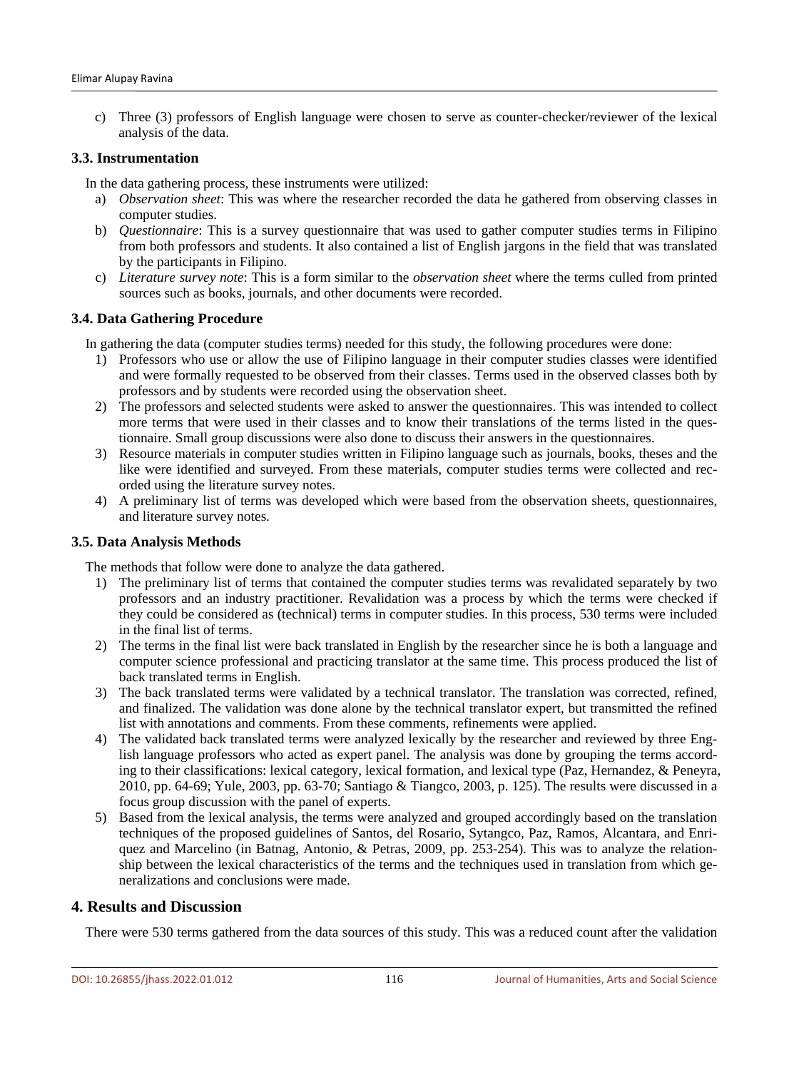c) Three (3) professors of English language were chosen to serve as counter-checker/reviewer of the lexical analysis of the data.

## **3.3. Instrumentation**

In the data gathering process, these instruments were utilized:

- a) *Observation sheet*: This was where the researcher recorded the data he gathered from observing classes in computer studies.
- b) *Questionnaire*: This is a survey questionnaire that was used to gather computer studies terms in Filipino from both professors and students. It also contained a list of English jargons in the field that was translated by the participants in Filipino.
- c) *Literature survey note*: This is a form similar to the *observation sheet* where the terms culled from printed sources such as books, journals, and other documents were recorded.

## **3.4. Data Gathering Procedure**

In gathering the data (computer studies terms) needed for this study, the following procedures were done:

- 1) Professors who use or allow the use of Filipino language in their computer studies classes were identified and were formally requested to be observed from their classes. Terms used in the observed classes both by professors and by students were recorded using the observation sheet.
- 2) The professors and selected students were asked to answer the questionnaires. This was intended to collect more terms that were used in their classes and to know their translations of the terms listed in the questionnaire. Small group discussions were also done to discuss their answers in the questionnaires.
- 3) Resource materials in computer studies written in Filipino language such as journals, books, theses and the like were identified and surveyed. From these materials, computer studies terms were collected and recorded using the literature survey notes.
- 4) A preliminary list of terms was developed which were based from the observation sheets, questionnaires, and literature survey notes.

## **3.5. Data Analysis Methods**

The methods that follow were done to analyze the data gathered.

- 1) The preliminary list of terms that contained the computer studies terms was revalidated separately by two professors and an industry practitioner. Revalidation was a process by which the terms were checked if they could be considered as (technical) terms in computer studies. In this process, 530 terms were included in the final list of terms.
- 2) The terms in the final list were back translated in English by the researcher since he is both a language and computer science professional and practicing translator at the same time. This process produced the list of back translated terms in English.
- 3) The back translated terms were validated by a technical translator. The translation was corrected, refined, and finalized. The validation was done alone by the technical translator expert, but transmitted the refined list with annotations and comments. From these comments, refinements were applied.
- 4) The validated back translated terms were analyzed lexically by the researcher and reviewed by three English language professors who acted as expert panel. The analysis was done by grouping the terms according to their classifications: lexical category, lexical formation, and lexical type (Paz, Hernandez, & Peneyra, 2010, pp. 64-69; Yule, 2003, pp. 63-70; Santiago & Tiangco, 2003, p. 125). The results were discussed in a focus group discussion with the panel of experts.
- 5) Based from the lexical analysis, the terms were analyzed and grouped accordingly based on the translation techniques of the proposed guidelines of Santos, del Rosario, Sytangco, Paz, Ramos, Alcantara, and Enriquez and Marcelino (in Batnag, Antonio, & Petras, 2009, pp. 253-254). This was to analyze the relationship between the lexical characteristics of the terms and the techniques used in translation from which generalizations and conclusions were made.

## **4. Results and Discussion**

There were 530 terms gathered from the data sources of this study. This was a reduced count after the validation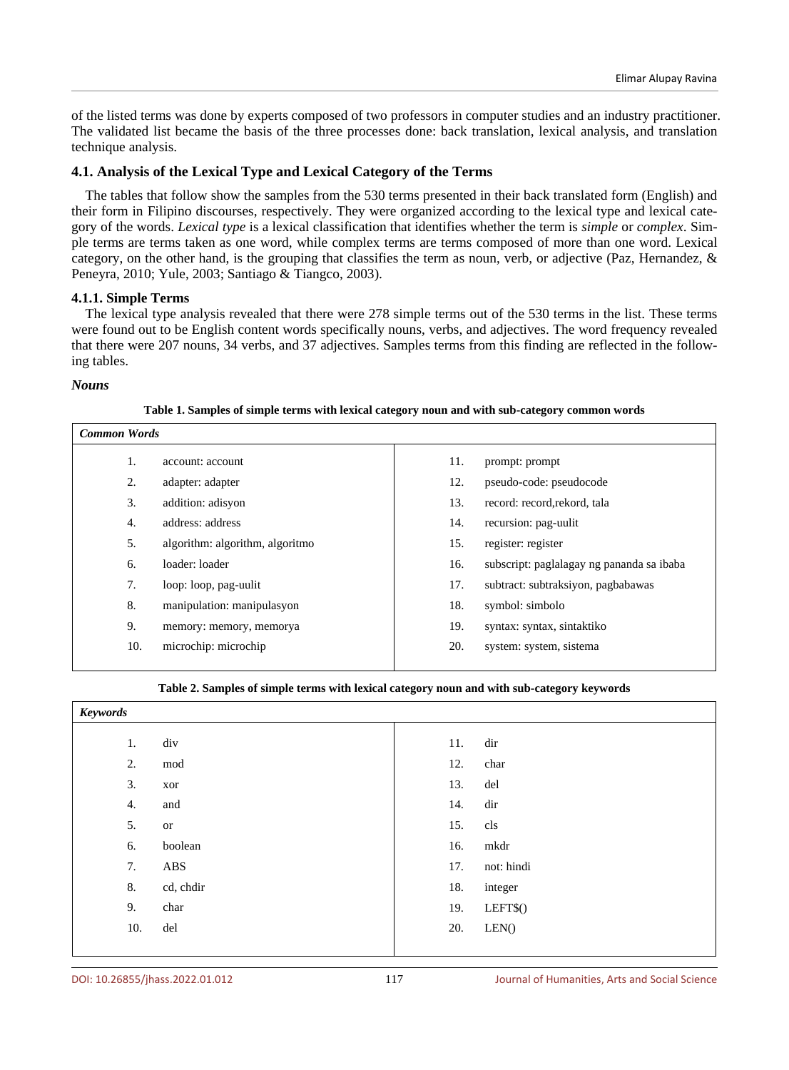of the listed terms was done by experts composed of two professors in computer studies and an industry practitioner. The validated list became the basis of the three processes done: back translation, lexical analysis, and translation technique analysis.

#### **4.1. Analysis of the Lexical Type and Lexical Category of the Terms**

The tables that follow show the samples from the 530 terms presented in their back translated form (English) and their form in Filipino discourses, respectively. They were organized according to the lexical type and lexical category of the words. *Lexical type* is a lexical classification that identifies whether the term is *simple* or *complex*. Simple terms are terms taken as one word, while complex terms are terms composed of more than one word. Lexical category, on the other hand, is the grouping that classifies the term as noun, verb, or adjective (Paz, Hernandez, & Peneyra, 2010; Yule, 2003; Santiago & Tiangco, 2003).

#### **4.1.1. Simple Terms**

The lexical type analysis revealed that there were 278 simple terms out of the 530 terms in the list. These terms were found out to be English content words specifically nouns, verbs, and adjectives. The word frequency revealed that there were 207 nouns, 34 verbs, and 37 adjectives. Samples terms from this finding are reflected in the following tables.

#### *Nouns*

|     | <b>Common Words</b>             |     |                                           |  |  |  |  |
|-----|---------------------------------|-----|-------------------------------------------|--|--|--|--|
| 1.  | account: account                | 11. | prompt: prompt                            |  |  |  |  |
| 2.  | adapter: adapter                | 12. | pseudo-code: pseudocode                   |  |  |  |  |
| 3.  | addition: adisyon               | 13. | record: record, rekord, tala              |  |  |  |  |
| 4.  | address: address                | 14. | recursion: pag-uulit                      |  |  |  |  |
| 5.  | algorithm: algorithm, algoritmo | 15. | register: register                        |  |  |  |  |
| 6.  | loader: loader                  | 16. | subscript: paglalagay ng pananda sa ibaba |  |  |  |  |
| 7.  | loop: loop, pag-uulit           | 17. | subtract: subtraksiyon, pagbabawas        |  |  |  |  |
| 8.  | manipulation: manipulasyon      | 18. | symbol: simbolo                           |  |  |  |  |
| 9.  | memory: memory, memorya         | 19. | syntax: syntax, sintaktiko                |  |  |  |  |
| 10. | microchip: microchip            | 20. | system: system, sistema                   |  |  |  |  |
|     |                                 |     |                                           |  |  |  |  |

**Table 1. Samples of simple terms with lexical category noun and with sub-category common words**

#### **Table 2. Samples of simple terms with lexical category noun and with sub-category keywords**

| <b>Keywords</b> |     |           |     |            |
|-----------------|-----|-----------|-----|------------|
| 1.              |     | div       | 11. | dir        |
| 2.              |     | mod       | 12. | char       |
| 3.              |     | xor       | 13. | del        |
| 4.              |     | and       | 14. | dir        |
| 5.              |     | or        | 15. | cls        |
| 6.              |     | boolean   | 16. | mkdr       |
| 7.              |     | ABS       | 17. | not: hindi |
| 8.              |     | cd, chdir | 18. | integer    |
| 9.              |     | char      | 19. | LEFT\$()   |
|                 | 10. | del       | 20. | LEN()      |
|                 |     |           |     |            |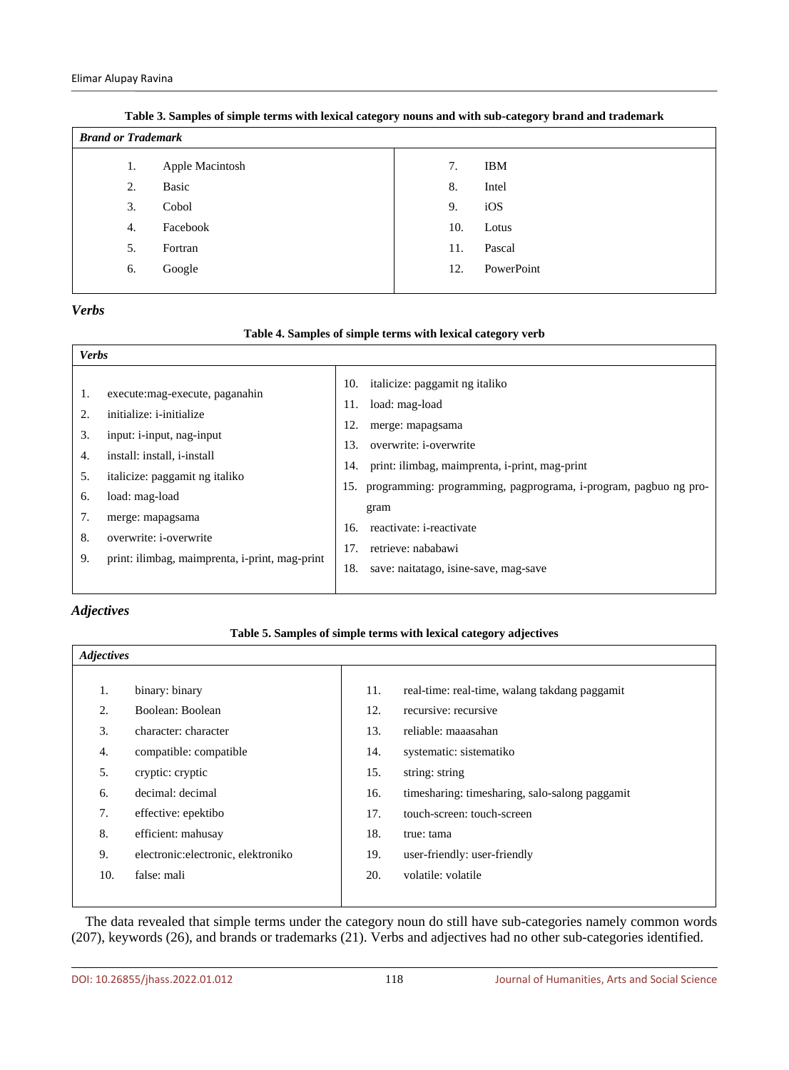|    | <b>Brand or Trademark</b> |     |            |  |  |  |  |
|----|---------------------------|-----|------------|--|--|--|--|
| 1. | Apple Macintosh           | 7.  | <b>IBM</b> |  |  |  |  |
| 2. | Basic                     | 8.  | Intel      |  |  |  |  |
| 3. | Cobol                     | 9.  | iOS        |  |  |  |  |
| 4. | Facebook                  | 10. | Lotus      |  |  |  |  |
| 5. | Fortran                   | 11. | Pascal     |  |  |  |  |
| 6. | Google                    | 12. | PowerPoint |  |  |  |  |
|    |                           |     |            |  |  |  |  |

**Table 3. Samples of simple terms with lexical category nouns and with sub-category brand and trademark**

*Verbs*

#### **Table 4. Samples of simple terms with lexical category verb**

| <b>Verbs</b>                                                                                                                                                                                                                                                                                                                                     |                                                                                                                                                                                                                                                                                                                                                                                                       |
|--------------------------------------------------------------------------------------------------------------------------------------------------------------------------------------------------------------------------------------------------------------------------------------------------------------------------------------------------|-------------------------------------------------------------------------------------------------------------------------------------------------------------------------------------------------------------------------------------------------------------------------------------------------------------------------------------------------------------------------------------------------------|
| execute: mag-execute, paganahin<br>1.<br>initialize: <i>i</i> -initialize<br>2.<br>3.<br>input: i-input, nag-input<br>install: install, i-install<br>4.<br>italicize: paggamit ng italiko<br>5.<br>load: mag-load<br>6.<br>7.<br>merge: mapagsama<br>overwrite: <i>i-overwrite</i><br>8.<br>9.<br>print: ilimbag, maimprenta, i-print, mag-print | italicize: paggamit ng italiko<br>10.<br>11.<br>load: mag-load<br>12.<br>merge: mapagsama<br>overwrite: <i>i-overwrite</i><br>13.<br>print: ilimbag, maimprenta, i-print, mag-print<br>14.<br>programming: programming, pagprograma, i-program, pagbuo ng pro-<br>15.<br>gram<br>reactivate: <i>i</i> -reactivate<br>16.<br>17.<br>retrieve: nababawi<br>save: naitatago, isine-save, mag-save<br>18. |
|                                                                                                                                                                                                                                                                                                                                                  |                                                                                                                                                                                                                                                                                                                                                                                                       |

## *Adjectives*

#### **Table 5. Samples of simple terms with lexical category adjectives**

| <b>Adjectives</b> |                                     |     |                                                  |
|-------------------|-------------------------------------|-----|--------------------------------------------------|
|                   |                                     |     |                                                  |
| 1.                | binary: binary                      | 11. | real-time: real-time, walang takdang paggamit    |
| 2.                | Boolean: Boolean                    | 12. | recursive: recursive                             |
| 3.                | character: character                | 13. | reliable: maaasahan                              |
| 4.                | compatible: compatible              | 14. | systematic: sistematiko                          |
| 5.                | cryptic: cryptic                    | 15. | string: string                                   |
| 6.                | decimal: decimal                    | 16. | times haring: times haring, salo-salong paggamit |
| 7.                | effective: epektibo                 | 17. | touch-screen: touch-screen                       |
| 8.                | efficient: mahusay                  | 18. | true: tama                                       |
| 9.                | electronic: electronic, elektroniko | 19. | user-friendly: user-friendly                     |
| 10.               | false: mali                         | 20. | volatile: volatile                               |
|                   |                                     |     |                                                  |

The data revealed that simple terms under the category noun do still have sub-categories namely common words (207), keywords (26), and brands or trademarks (21). Verbs and adjectives had no other sub-categories identified.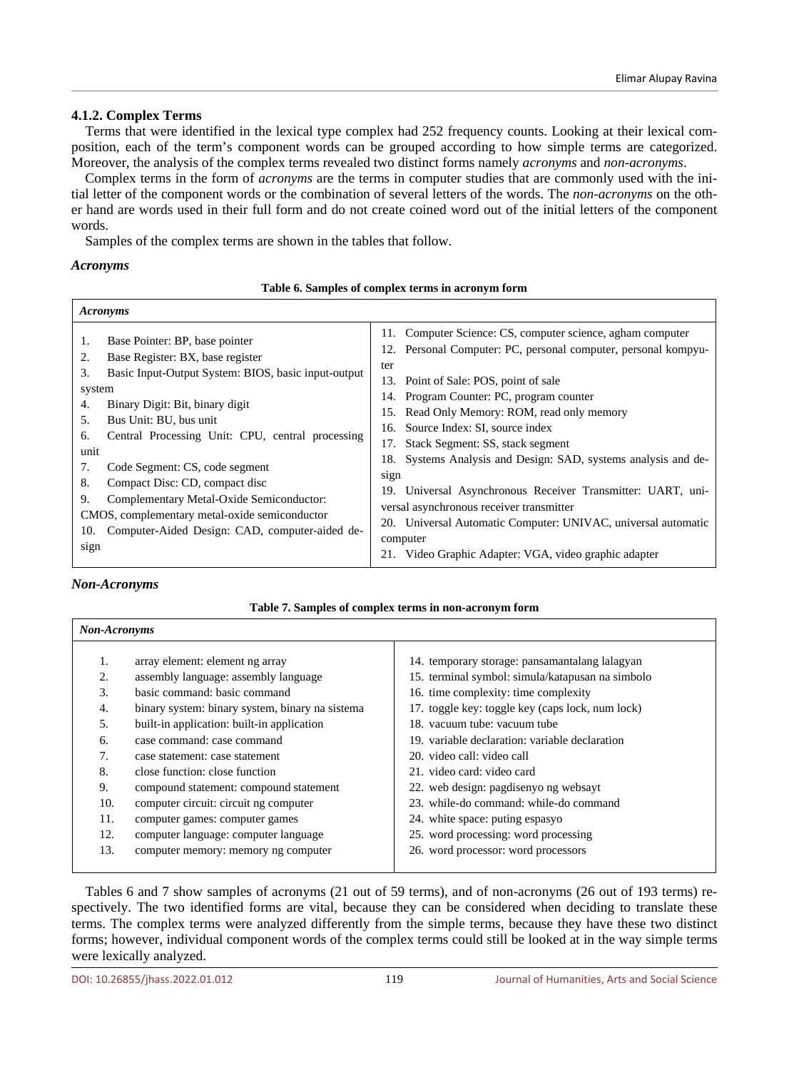#### **4.1.2. Complex Terms**

Terms that were identified in the lexical type complex had 252 frequency counts. Looking at their lexical composition, each of the term's component words can be grouped according to how simple terms are categorized. Moreover, the analysis of the complex terms revealed two distinct forms namely *acronyms* and *non-acronyms*.

Complex terms in the form of *acronyms* are the terms in computer studies that are commonly used with the initial letter of the component words or the combination of several letters of the words. The *non-acronyms* on the other hand are words used in their full form and do not create coined word out of the initial letters of the component words.

Samples of the complex terms are shown in the tables that follow.

#### *Acronyms*

#### **Table 6. Samples of complex terms in acronym form**

| <b>Acronyms</b>                                     |                                                               |
|-----------------------------------------------------|---------------------------------------------------------------|
| Base Pointer: BP, base pointer                      | Computer Science: CS, computer science, agham computer        |
| 1.                                                  | 11.                                                           |
| Base Register: BX, base register                    | Personal Computer: PC, personal computer, personal kompyu-    |
| 2.                                                  | 12.                                                           |
| Basic Input-Output System: BIOS, basic input-output | ter                                                           |
| 3.                                                  | Point of Sale: POS, point of sale                             |
| system                                              | 13.                                                           |
| Binary Digit: Bit, binary digit                     | 14. Program Counter: PC, program counter                      |
| 4.                                                  | Read Only Memory: ROM, read only memory                       |
| Bus Unit: BU, bus unit                              | 15.                                                           |
| 5.                                                  | Source Index: SI, source index                                |
| Central Processing Unit: CPU, central processing    | 16.                                                           |
| 6.                                                  | Stack Segment: SS, stack segment                              |
| unit                                                | 17.                                                           |
| Code Segment: CS, code segment                      | Systems Analysis and Design: SAD, systems analysis and de-    |
| 7.                                                  | 18.                                                           |
| Compact Disc: CD, compact disc                      | sign                                                          |
| 8.                                                  | Universal Asynchronous Receiver Transmitter: UART, uni-       |
| Complementary Metal-Oxide Semiconductor:            | 19.                                                           |
| 9.                                                  | versal asynchronous receiver transmitter                      |
| CMOS, complementary metal-oxide semiconductor       | 20. Universal Automatic Computer: UNIVAC, universal automatic |
| 10.                                                 | computer                                                      |
| Computer-Aided Design: CAD, computer-aided de-      | Video Graphic Adapter: VGA, video graphic adapter             |
| sign                                                | 21.                                                           |

#### *Non-Acronyms*

#### **Table 7. Samples of complex terms in non-acronym form**

| <b>Non-Acronyms</b> |                                                 |                                                  |  |  |  |  |
|---------------------|-------------------------------------------------|--------------------------------------------------|--|--|--|--|
|                     |                                                 |                                                  |  |  |  |  |
| 1.                  | array element: element ng array                 | 14. temporary storage: pansamantalang lalagyan   |  |  |  |  |
| 2.                  | assembly language: assembly language            | 15. terminal symbol: simula/katapusan na simbolo |  |  |  |  |
| 3.                  | basic command: basic command                    | 16. time complexity: time complexity             |  |  |  |  |
| 4.                  | binary system: binary system, binary na sistema | 17. toggle key: toggle key (caps lock, num lock) |  |  |  |  |
| .5.                 | built-in application: built-in application      | 18. vacuum tube: vacuum tube                     |  |  |  |  |
| 6.                  | case command: case command                      | 19. variable declaration: variable declaration   |  |  |  |  |
| 7.                  | case statement: case statement                  | 20. video call: video call                       |  |  |  |  |
| 8.                  | close function: close function                  | 21. video card: video card                       |  |  |  |  |
| 9.                  | compound statement: compound statement          | 22. web design: pagdisenyo ng websayt            |  |  |  |  |
| 10.                 | computer circuit: circuit ng computer           | 23. while-do command: while-do command           |  |  |  |  |
| 11.                 | computer games: computer games                  | 24. white space: puting espasyo                  |  |  |  |  |
| 12.                 | computer language: computer language            | 25. word processing: word processing             |  |  |  |  |
| 13.                 | computer memory: memory ng computer             | 26. word processor: word processors              |  |  |  |  |
|                     |                                                 |                                                  |  |  |  |  |

Tables 6 and 7 show samples of acronyms (21 out of 59 terms), and of non-acronyms (26 out of 193 terms) respectively. The two identified forms are vital, because they can be considered when deciding to translate these terms. The complex terms were analyzed differently from the simple terms, because they have these two distinct forms; however, individual component words of the complex terms could still be looked at in the way simple terms were lexically analyzed.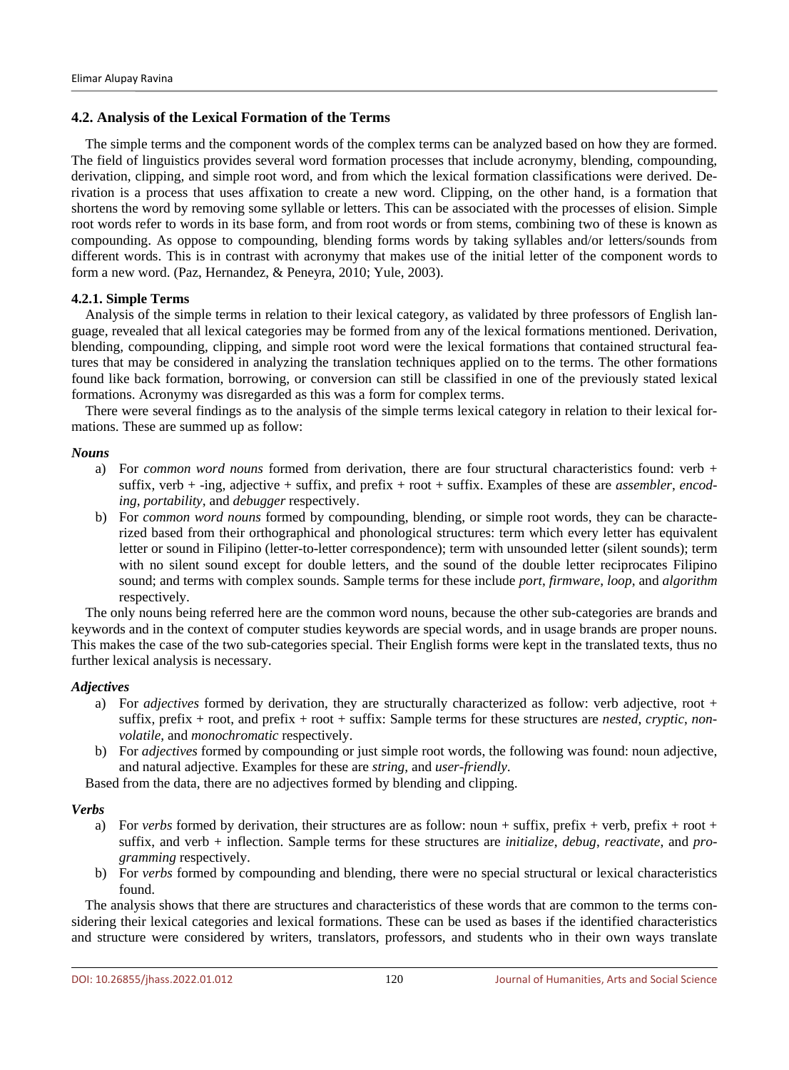#### **4.2. Analysis of the Lexical Formation of the Terms**

The simple terms and the component words of the complex terms can be analyzed based on how they are formed. The field of linguistics provides several word formation processes that include acronymy, blending, compounding, derivation, clipping, and simple root word, and from which the lexical formation classifications were derived. Derivation is a process that uses affixation to create a new word. Clipping, on the other hand, is a formation that shortens the word by removing some syllable or letters. This can be associated with the processes of elision. Simple root words refer to words in its base form, and from root words or from stems, combining two of these is known as compounding. As oppose to compounding, blending forms words by taking syllables and/or letters/sounds from different words. This is in contrast with acronymy that makes use of the initial letter of the component words to form a new word. (Paz, Hernandez, & Peneyra, 2010; Yule, 2003).

#### **4.2.1. Simple Terms**

Analysis of the simple terms in relation to their lexical category, as validated by three professors of English language, revealed that all lexical categories may be formed from any of the lexical formations mentioned. Derivation, blending, compounding, clipping, and simple root word were the lexical formations that contained structural features that may be considered in analyzing the translation techniques applied on to the terms. The other formations found like back formation, borrowing, or conversion can still be classified in one of the previously stated lexical formations. Acronymy was disregarded as this was a form for complex terms.

There were several findings as to the analysis of the simple terms lexical category in relation to their lexical formations. These are summed up as follow:

#### *Nouns*

- a) For *common word nouns* formed from derivation, there are four structural characteristics found: verb + suffix, verb + -ing, adjective + suffix, and prefix + root + suffix. Examples of these are *assembler*, *encoding*, *portability*, and *debugger* respectively.
- b) For *common word nouns* formed by compounding, blending, or simple root words, they can be characterized based from their orthographical and phonological structures: term which every letter has equivalent letter or sound in Filipino (letter-to-letter correspondence); term with unsounded letter (silent sounds); term with no silent sound except for double letters, and the sound of the double letter reciprocates Filipino sound; and terms with complex sounds. Sample terms for these include *port*, *firmware*, *loop*, and *algorithm* respectively.

The only nouns being referred here are the common word nouns, because the other sub-categories are brands and keywords and in the context of computer studies keywords are special words, and in usage brands are proper nouns. This makes the case of the two sub-categories special. Their English forms were kept in the translated texts, thus no further lexical analysis is necessary.

#### *Adjectives*

- a) For *adjectives* formed by derivation, they are structurally characterized as follow: verb adjective, root + suffix, prefix + root, and prefix + root + suffix: Sample terms for these structures are *nested*, *cryptic*, *nonvolatile*, and *monochromatic* respectively.
- b) For *adjectives* formed by compounding or just simple root words, the following was found: noun adjective, and natural adjective. Examples for these are *string*, and *user-friendly*.

Based from the data, there are no adjectives formed by blending and clipping.

#### *Verbs*

- a) For *verbs* formed by derivation, their structures are as follow: noun + suffix, prefix + verb, prefix + root + suffix, and verb + inflection. Sample terms for these structures are *initialize*, *debug*, *reactivate*, and *programming* respectively.
- b) For *verbs* formed by compounding and blending, there were no special structural or lexical characteristics found.

The analysis shows that there are structures and characteristics of these words that are common to the terms considering their lexical categories and lexical formations. These can be used as bases if the identified characteristics and structure were considered by writers, translators, professors, and students who in their own ways translate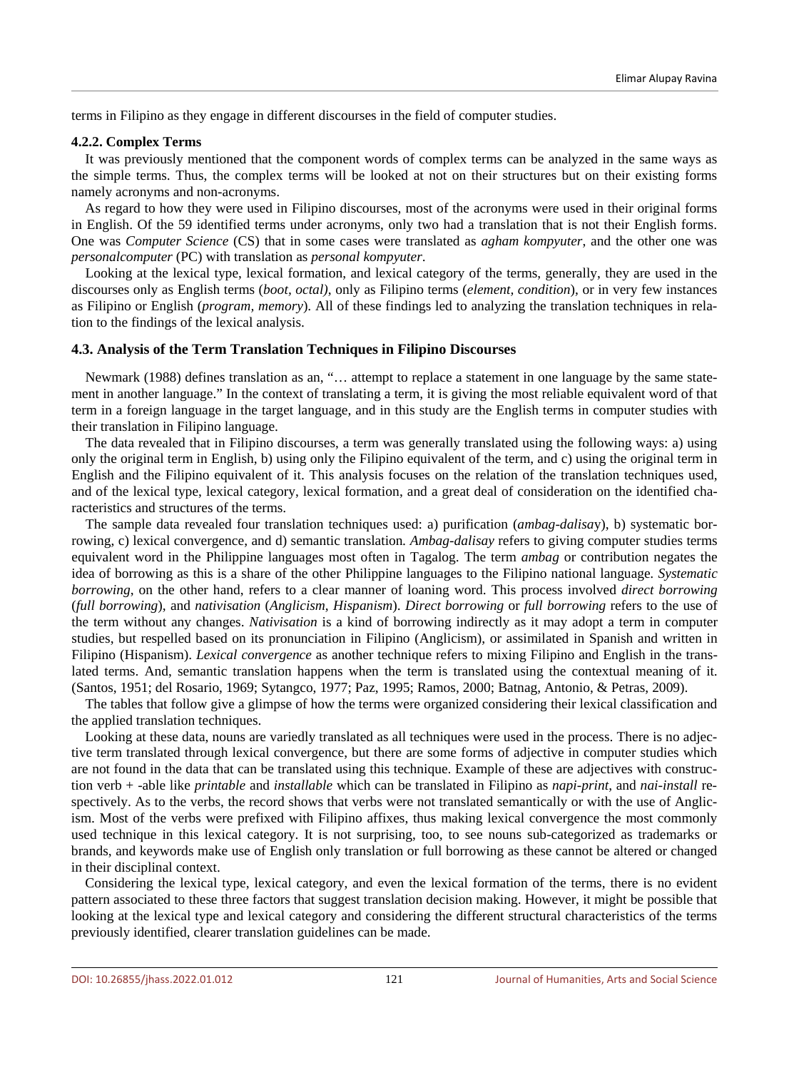terms in Filipino as they engage in different discourses in the field of computer studies.

#### **4.2.2. Complex Terms**

It was previously mentioned that the component words of complex terms can be analyzed in the same ways as the simple terms. Thus, the complex terms will be looked at not on their structures but on their existing forms namely acronyms and non-acronyms.

As regard to how they were used in Filipino discourses, most of the acronyms were used in their original forms in English. Of the 59 identified terms under acronyms, only two had a translation that is not their English forms. One was *Computer Science* (CS) that in some cases were translated as *agham kompyuter*, and the other one was *personalcomputer* (PC) with translation as *personal kompyuter*.

Looking at the lexical type, lexical formation, and lexical category of the terms, generally, they are used in the discourses only as English terms (*boot, octal)*, only as Filipino terms (*element, condition*), or in very few instances as Filipino or English (*program, memory*). All of these findings led to analyzing the translation techniques in relation to the findings of the lexical analysis.

#### **4.3. Analysis of the Term Translation Techniques in Filipino Discourses**

Newmark (1988) defines translation as an, "… attempt to replace a statement in one language by the same statement in another language." In the context of translating a term, it is giving the most reliable equivalent word of that term in a foreign language in the target language, and in this study are the English terms in computer studies with their translation in Filipino language.

The data revealed that in Filipino discourses, a term was generally translated using the following ways: a) using only the original term in English, b) using only the Filipino equivalent of the term, and c) using the original term in English and the Filipino equivalent of it. This analysis focuses on the relation of the translation techniques used, and of the lexical type, lexical category, lexical formation, and a great deal of consideration on the identified characteristics and structures of the terms.

The sample data revealed four translation techniques used: a) purification (*ambag-dalisa*y), b) systematic borrowing, c) lexical convergence, and d) semantic translation*. Ambag-dalisay* refers to giving computer studies terms equivalent word in the Philippine languages most often in Tagalog. The term *ambag* or contribution negates the idea of borrowing as this is a share of the other Philippine languages to the Filipino national language*. Systematic borrowing*, on the other hand, refers to a clear manner of loaning word. This process involved *direct borrowing* (*full borrowing*), and *nativisation* (*Anglicism*, *Hispanism*). *Direct borrowing* or *full borrowing* refers to the use of the term without any changes. *Nativisation* is a kind of borrowing indirectly as it may adopt a term in computer studies, but respelled based on its pronunciation in Filipino (Anglicism), or assimilated in Spanish and written in Filipino (Hispanism). *Lexical convergence* as another technique refers to mixing Filipino and English in the translated terms. And, semantic translation happens when the term is translated using the contextual meaning of it. (Santos, 1951; del Rosario, 1969; Sytangco, 1977; Paz, 1995; Ramos, 2000; Batnag, Antonio, & Petras, 2009).

The tables that follow give a glimpse of how the terms were organized considering their lexical classification and the applied translation techniques.

Looking at these data, nouns are variedly translated as all techniques were used in the process. There is no adjective term translated through lexical convergence, but there are some forms of adjective in computer studies which are not found in the data that can be translated using this technique. Example of these are adjectives with construction verb + -able like *printable* and *installable* which can be translated in Filipino as *napi-print*, and *nai-install* respectively. As to the verbs, the record shows that verbs were not translated semantically or with the use of Anglicism. Most of the verbs were prefixed with Filipino affixes, thus making lexical convergence the most commonly used technique in this lexical category. It is not surprising, too, to see nouns sub-categorized as trademarks or brands, and keywords make use of English only translation or full borrowing as these cannot be altered or changed in their disciplinal context.

Considering the lexical type, lexical category, and even the lexical formation of the terms, there is no evident pattern associated to these three factors that suggest translation decision making. However, it might be possible that looking at the lexical type and lexical category and considering the different structural characteristics of the terms previously identified, clearer translation guidelines can be made.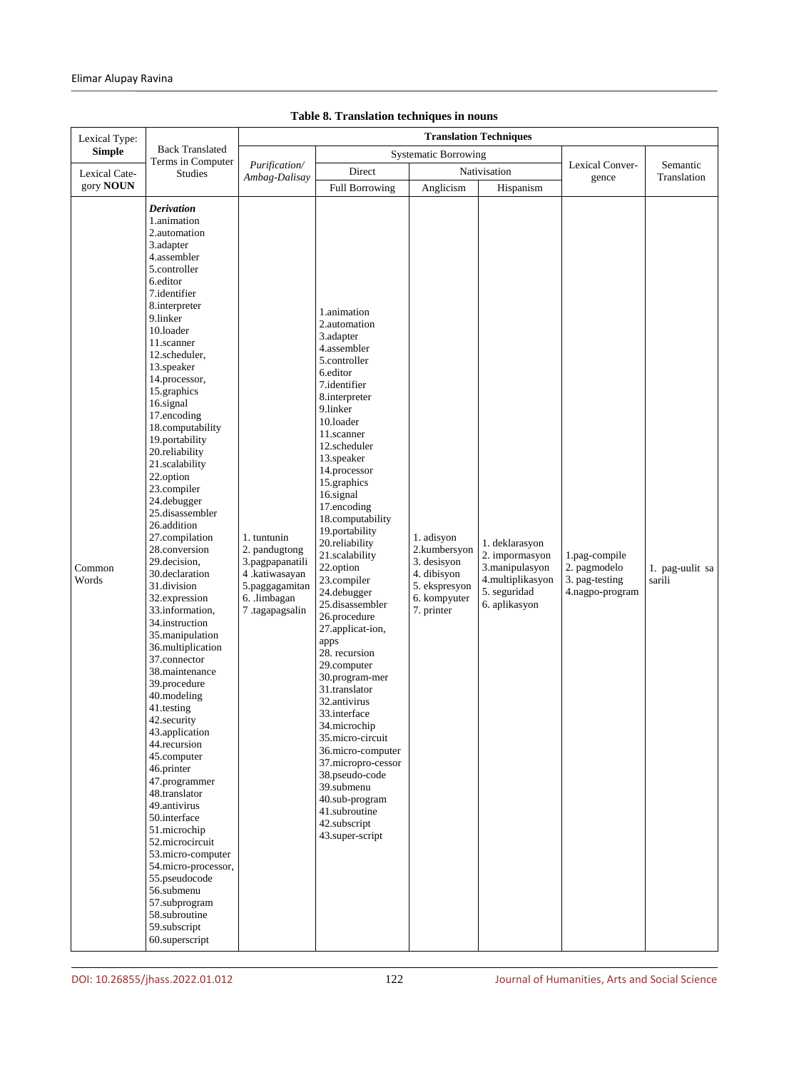| Lexical Type:    |                                                                                                                                                                                                                                                                                                                                                                                                                                                                                                                                                                                                                                                                                                                                                                                                                                                                                                                                                                                                                                       | <b>Translation Techniques</b>                                                                                         |                                                                                                                                                                                                                                                                                                                                                                                                                                                                                                                                                                                                                                                                                                                                  |                                                                                                         |                                                                                                         |                                                                    |                           |
|------------------|---------------------------------------------------------------------------------------------------------------------------------------------------------------------------------------------------------------------------------------------------------------------------------------------------------------------------------------------------------------------------------------------------------------------------------------------------------------------------------------------------------------------------------------------------------------------------------------------------------------------------------------------------------------------------------------------------------------------------------------------------------------------------------------------------------------------------------------------------------------------------------------------------------------------------------------------------------------------------------------------------------------------------------------|-----------------------------------------------------------------------------------------------------------------------|----------------------------------------------------------------------------------------------------------------------------------------------------------------------------------------------------------------------------------------------------------------------------------------------------------------------------------------------------------------------------------------------------------------------------------------------------------------------------------------------------------------------------------------------------------------------------------------------------------------------------------------------------------------------------------------------------------------------------------|---------------------------------------------------------------------------------------------------------|---------------------------------------------------------------------------------------------------------|--------------------------------------------------------------------|---------------------------|
| <b>Simple</b>    | <b>Back Translated</b><br>Terms in Computer                                                                                                                                                                                                                                                                                                                                                                                                                                                                                                                                                                                                                                                                                                                                                                                                                                                                                                                                                                                           | <b>Systematic Borrowing</b>                                                                                           |                                                                                                                                                                                                                                                                                                                                                                                                                                                                                                                                                                                                                                                                                                                                  |                                                                                                         |                                                                                                         |                                                                    |                           |
| Lexical Cate-    | <b>Studies</b>                                                                                                                                                                                                                                                                                                                                                                                                                                                                                                                                                                                                                                                                                                                                                                                                                                                                                                                                                                                                                        | Purification/<br>Ambag-Dalisay                                                                                        | Direct                                                                                                                                                                                                                                                                                                                                                                                                                                                                                                                                                                                                                                                                                                                           |                                                                                                         | Nativisation                                                                                            | Lexical Conver-<br>gence                                           | Semantic<br>Translation   |
| gory <b>NOUN</b> |                                                                                                                                                                                                                                                                                                                                                                                                                                                                                                                                                                                                                                                                                                                                                                                                                                                                                                                                                                                                                                       |                                                                                                                       | <b>Full Borrowing</b>                                                                                                                                                                                                                                                                                                                                                                                                                                                                                                                                                                                                                                                                                                            | Anglicism                                                                                               | Hispanism                                                                                               |                                                                    |                           |
| Common<br>Words  | <b>Derivation</b><br>1.animation<br>2.automation<br>3.adapter<br>4.assembler<br>5.controller<br>6.editor<br>7.identifier<br>8.interpreter<br>9.linker<br>10.loader<br>11.scanner<br>12.scheduler,<br>13.speaker<br>14.processor,<br>15.graphics<br>16.signal<br>17.encoding<br>18.computability<br>19.portability<br>20.reliability<br>21.scalability<br>22.option<br>23.compiler<br>24.debugger<br>25.disassembler<br>26.addition<br>27.compilation<br>28.conversion<br>29.decision,<br>30.declaration<br>31.division<br>32.expression<br>33.information,<br>34.instruction<br>35.manipulation<br>36.multiplication<br>37.connector<br>38.maintenance<br>39.procedure<br>40.modeling<br>41.testing<br>42.security<br>43.application<br>44.recursion<br>45.computer<br>46.printer<br>47.programmer<br>48.translator<br>49.antivirus<br>50.interface<br>51.microchip<br>52.microcircuit<br>53.micro-computer<br>54.micro-processor,<br>55.pseudocode<br>56.submenu<br>57.subprogram<br>58.subroutine<br>59.subscript<br>60.superscript | 1. tuntunin<br>2. pandugtong<br>3.pagpapanatili<br>4 .katiwasayan<br>5.paggagamitan<br>6. .limbagan<br>7.tagapagsalin | 1.animation<br>2.automation<br>3.adapter<br>4.assembler<br>5.controller<br>6.editor<br>7.identifier<br>8.interpreter<br>9.linker<br>10.loader<br>11.scanner<br>12.scheduler<br>13.speaker<br>14.processor<br>15.graphics<br>16.signal<br>17.encoding<br>18.computability<br>19.portability<br>20.reliability<br>21.scalability<br>22.option<br>23.compiler<br>24.debugger<br>25.disassembler<br>26.procedure<br>27.applicat-ion,<br>apps<br>28. recursion<br>29.computer<br>30.program-mer<br>31.translator<br>32.antivirus<br>33.interface<br>34.microchip<br>35.micro-circuit<br>36.micro-computer<br>37.micropro-cessor<br>38.pseudo-code<br>39.submenu<br>40.sub-program<br>41.subroutine<br>42.subscript<br>43.super-script | 1. adisyon<br>2.kumbersyon<br>3. desisyon<br>4. dibisyon<br>5. ekspresyon<br>6. kompyuter<br>7. printer | 1. deklarasyon<br>2. impormasyon<br>3.manipulasyon<br>4.multiplikasyon<br>5. seguridad<br>6. aplikasyon | 1.pag-compile<br>2. pagmodelo<br>3. pag-testing<br>4.nagpo-program | 1. pag-uulit sa<br>sarili |

| Table 8. Translation techniques in nouns |  |  |
|------------------------------------------|--|--|
|------------------------------------------|--|--|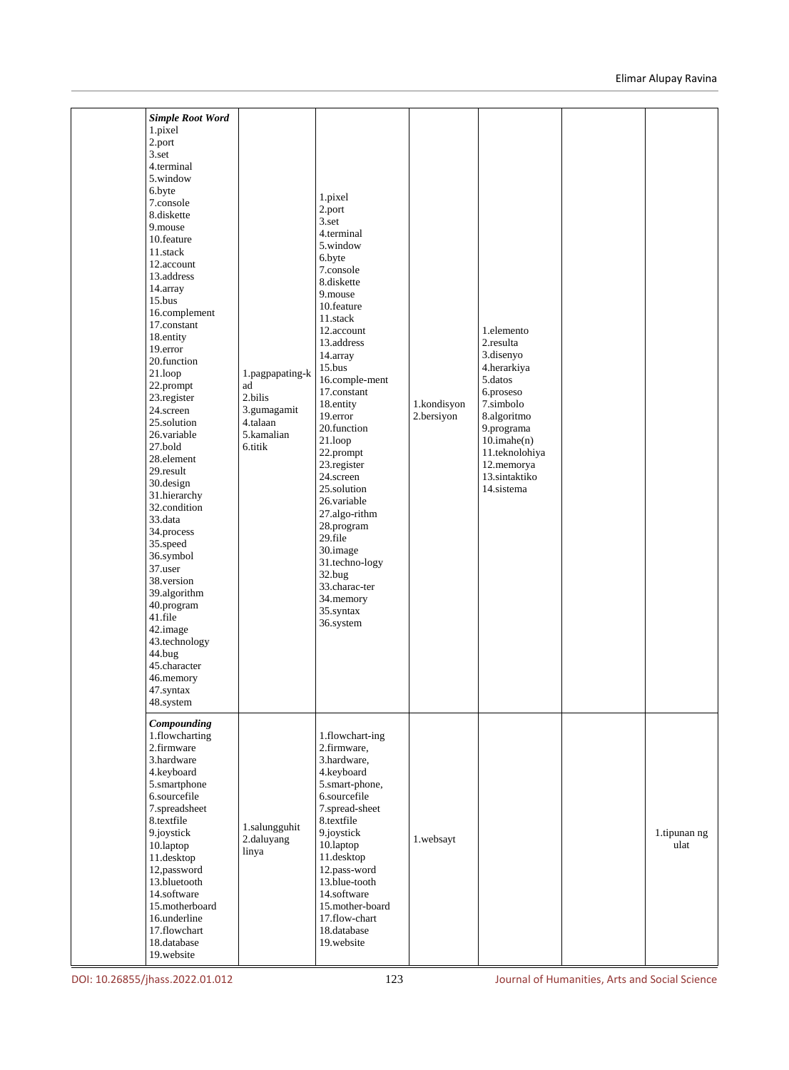| <b>Simple Root Word</b><br>1.pixel<br>2.port<br>3.set<br>4.terminal<br>5.window<br>6.byte<br>7.console<br>8.diskette<br>9.mouse<br>10.feature<br>11.stack<br>12.account<br>13.address<br>14.array<br>15.bus<br>16.complement<br>17.constant<br>18.entity<br>19.error<br>20.function<br>$21.$ loop<br>22.prompt<br>23.register<br>24.screen<br>25.solution<br>26.variable<br>27.bold<br>28.element<br>29.result<br>30.design<br>31.hierarchy<br>32.condition<br>33.data<br>34.process<br>35.speed<br>36.symbol<br>37.user<br>38. version<br>39.algorithm<br>40.program<br>41.file<br>42.image<br>43.technology<br>44.bug<br>45.character<br>46.memory<br>47.syntax<br>48.system | 1.pagpapating-k<br>ad<br>2.bilis<br>3.gumagamit<br>4.talaan<br>5.kamalian<br>6.titik | 1.pixel<br>$2.$ port<br>3.set<br>4.terminal<br>5.window<br>6.byte<br>7.console<br>8.diskette<br>9.mouse<br>10.feature<br>11.stack<br>12.account<br>13.address<br>14.array<br>15.bus<br>16.comple-ment<br>17.constant<br>18.entity<br>19.error<br>20.function<br>$21.$ loop<br>22.prompt<br>23.register<br>24.screen<br>25.solution<br>26.variable<br>27.algo-rithm<br>28.program<br>$29$ .file<br>30.image<br>31.techno-logy<br>32.bug<br>33.charac-ter<br>34.memory<br>35.syntax<br>36.system | 1.kondisyon<br>2.bersiyon | 1.elemento<br>2.resulta<br>3.disenyo<br>4.herarkiya<br>5.datos<br>6.proseso<br>7.simbolo<br>8.algoritmo<br>9.programa<br>$10.\text{imahe}(n)$<br>11.teknolohiya<br>12.memorya<br>13.sintaktiko<br>14.sistema |                      |
|--------------------------------------------------------------------------------------------------------------------------------------------------------------------------------------------------------------------------------------------------------------------------------------------------------------------------------------------------------------------------------------------------------------------------------------------------------------------------------------------------------------------------------------------------------------------------------------------------------------------------------------------------------------------------------|--------------------------------------------------------------------------------------|------------------------------------------------------------------------------------------------------------------------------------------------------------------------------------------------------------------------------------------------------------------------------------------------------------------------------------------------------------------------------------------------------------------------------------------------------------------------------------------------|---------------------------|--------------------------------------------------------------------------------------------------------------------------------------------------------------------------------------------------------------|----------------------|
| Compounding<br>1.flowcharting<br>2.firmware<br>3.hardware<br>4.keyboard<br>5.smartphone<br>6.sourcefile<br>7.spreadsheet<br>8.textfile<br>9.joystick<br>10.laptop<br>11.desktop<br>12, password<br>13.bluetooth<br>14.software<br>15.motherboard<br>16.underline<br>17.flowchart<br>18.database<br>19.website                                                                                                                                                                                                                                                                                                                                                                  | 1.salungguhit<br>2.daluyang<br>linya                                                 | 1.flowchart-ing<br>2.firmware,<br>3.hardware,<br>4.keyboard<br>5.smart-phone,<br>6.sourcefile<br>7.spread-sheet<br>8.textfile<br>9.joystick<br>10.laptop<br>11.desktop<br>12.pass-word<br>13.blue-tooth<br>14.software<br>15.mother-board<br>17.flow-chart<br>18.database<br>19.website                                                                                                                                                                                                        | 1.websayt                 |                                                                                                                                                                                                              | 1.tipunan ng<br>ulat |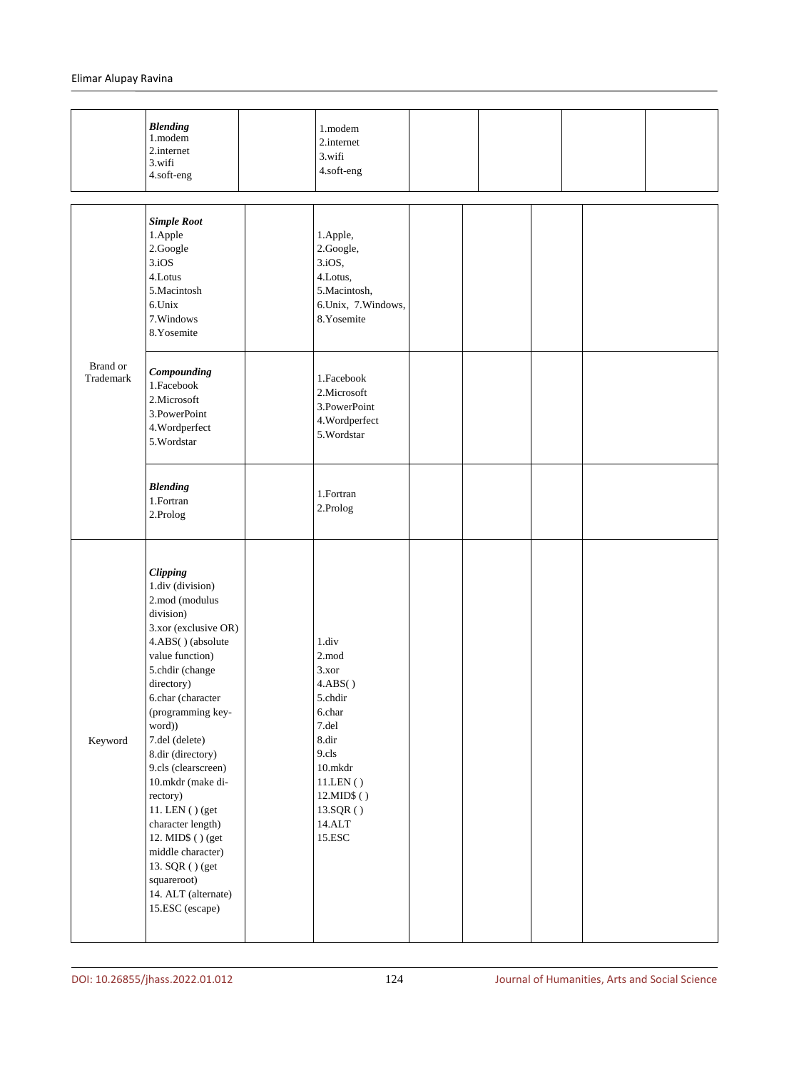|                       | <b>Blending</b><br>$1$ .modem<br>2.internet<br>3.wifi<br>4.soft-eng                                                                                                                                                                                                                                                                                                                                                                                                                  | 1.modem<br>2.internet<br>3.wifi<br>4.soft-eng                                                                                                                                                                  |  |  |  |
|-----------------------|--------------------------------------------------------------------------------------------------------------------------------------------------------------------------------------------------------------------------------------------------------------------------------------------------------------------------------------------------------------------------------------------------------------------------------------------------------------------------------------|----------------------------------------------------------------------------------------------------------------------------------------------------------------------------------------------------------------|--|--|--|
|                       | <b>Simple Root</b><br>1.Apple<br>2.Google<br>3.iOS<br>4.Lotus<br>5.Macintosh<br>6.Unix<br>7. Windows<br>8.Yosemite                                                                                                                                                                                                                                                                                                                                                                   | 1.Apple,<br>2.Google,<br>3.iOS,<br>4.Lotus,<br>5. Macintosh,<br>6.Unix, 7.Windows,<br>8.Yosemite                                                                                                               |  |  |  |
| Brand or<br>Trademark | Compounding<br>1.Facebook<br>2. Microsoft<br>3. PowerPoint<br>4. Wordperfect<br>5. Wordstar                                                                                                                                                                                                                                                                                                                                                                                          | 1.Facebook<br>2. Microsoft<br>3. PowerPoint<br>4. Wordperfect<br>5. Wordstar                                                                                                                                   |  |  |  |
|                       | <b>Blending</b><br>1.Fortran<br>2.Prolog                                                                                                                                                                                                                                                                                                                                                                                                                                             | 1.Fortran<br>2.Prolog                                                                                                                                                                                          |  |  |  |
| Keyword               | <b>Clipping</b><br>1.div (division)<br>2.mod (modulus<br>division)<br>3.xor (exclusive OR)<br>4.ABS() (absolute<br>value function)<br>5.chdir (change<br>directory)<br>6.char (character<br>(programming key-<br>word))<br>7.del (delete)<br>8.dir (directory)<br>9.cls (clearscreen)<br>10.mkdr (make di-<br>rectory)<br>11. LEN () (get<br>character length)<br>12. MID\$ () (get<br>middle character)<br>13. SQR () (get<br>squareroot)<br>14. ALT (alternate)<br>15.ESC (escape) | 1.div<br>$2$ .mod<br>3.xor<br>4.ABS()<br>5.chdir<br>6.char<br>7.del<br>8.dir<br>9.cls<br>$10.\mathrm{m} \mathrm{k} \mathrm{d} \mathrm{r}$<br>$11$ LEN ( )<br>$12.MID\$ ()<br>13.SQR()<br>$14.$ ALT<br>$15.ESC$ |  |  |  |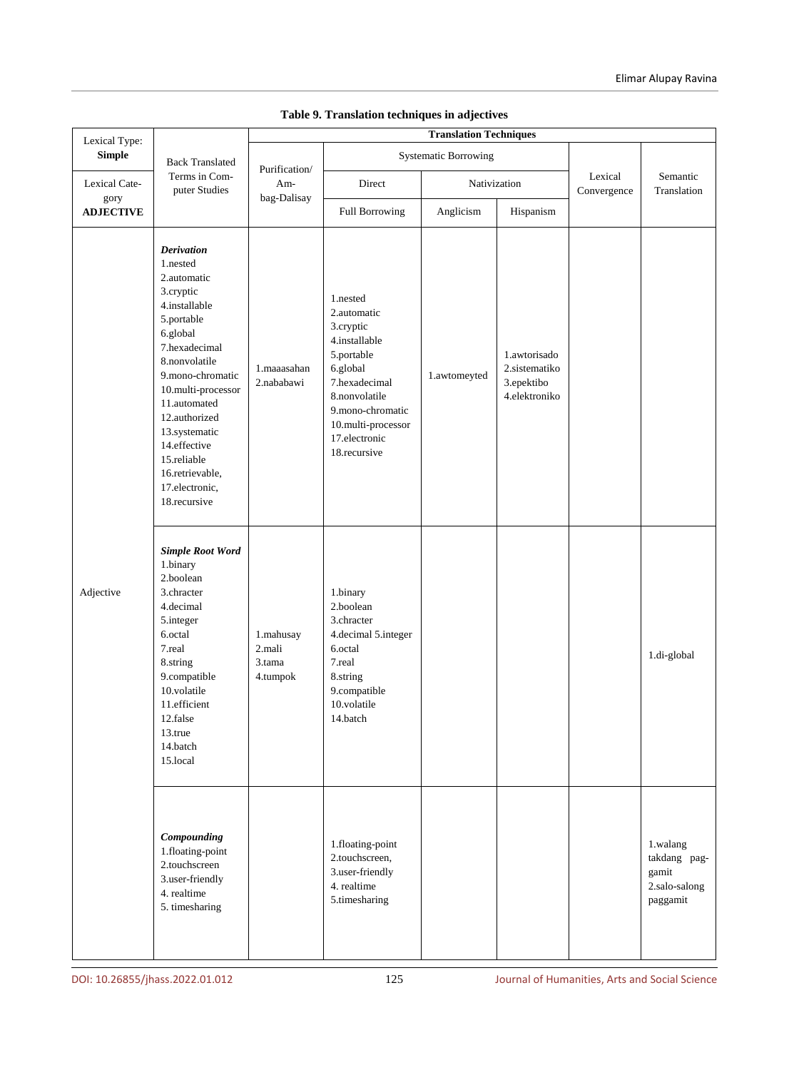| Lexical Type:         |                                                                                                                                                                                                                                                                                                                        | <b>Translation Techniques</b>             |                                                                                                                                                                                              |                             |                                                              |                        |                                                                |
|-----------------------|------------------------------------------------------------------------------------------------------------------------------------------------------------------------------------------------------------------------------------------------------------------------------------------------------------------------|-------------------------------------------|----------------------------------------------------------------------------------------------------------------------------------------------------------------------------------------------|-----------------------------|--------------------------------------------------------------|------------------------|----------------------------------------------------------------|
| <b>Simple</b>         | <b>Back Translated</b>                                                                                                                                                                                                                                                                                                 | Purification/                             |                                                                                                                                                                                              | <b>Systematic Borrowing</b> |                                                              |                        |                                                                |
| Lexical Cate-<br>gory | Terms in Com-<br>puter Studies                                                                                                                                                                                                                                                                                         | Am-<br>bag-Dalisay                        | Direct                                                                                                                                                                                       | Nativization                |                                                              | Lexical<br>Convergence | Semantic<br>Translation                                        |
| <b>ADJECTIVE</b>      |                                                                                                                                                                                                                                                                                                                        |                                           | <b>Full Borrowing</b>                                                                                                                                                                        | Anglicism                   | Hispanism                                                    |                        |                                                                |
|                       | <b>Derivation</b><br>1.nested<br>2.automatic<br>3.cryptic<br>4.installable<br>5.portable<br>6.global<br>7.hexadecimal<br>8.nonvolatile<br>9.mono-chromatic<br>10.multi-processor<br>11.automated<br>12.authorized<br>13.systematic<br>14.effective<br>15.reliable<br>16.retrievable,<br>17.electronic,<br>18.recursive | 1.maaasahan<br>2.nababawi                 | 1.nested<br>2.automatic<br>3.cryptic<br>4.installable<br>5.portable<br>6.global<br>7.hexadecimal<br>8.nonvolatile<br>9.mono-chromatic<br>10.multi-processor<br>17.electronic<br>18.recursive | 1.awtomeyted                | 1.awtorisado<br>2.sistematiko<br>3.epektibo<br>4.elektroniko |                        |                                                                |
| Adjective             | <b>Simple Root Word</b><br>1.binary<br>2.boolean<br>3.chracter<br>4.decimal<br>5.integer<br>6.octal<br>7.real<br>8.string<br>9.compatible<br>10.volatile<br>11.efficient<br>12.false<br>13.true<br>14.batch<br>15.local                                                                                                | 1.mahusay<br>2.mali<br>3.tama<br>4.tumpok | 1.binary<br>2.boolean<br>3.chracter<br>4.decimal 5.integer<br>6.octal<br>7.real<br>8.string<br>9.compatible<br>10.volatile<br>14.batch                                                       |                             |                                                              |                        | 1.di-global                                                    |
|                       | Compounding<br>1.floating-point<br>2.touchscreen<br>3.user-friendly<br>4. realtime<br>5. timesharing                                                                                                                                                                                                                   |                                           | 1.floating-point<br>2.touchscreen,<br>3.user-friendly<br>4. realtime<br>5.timesharing                                                                                                        |                             |                                                              |                        | 1.walang<br>takdang pag-<br>gamit<br>2.salo-salong<br>paggamit |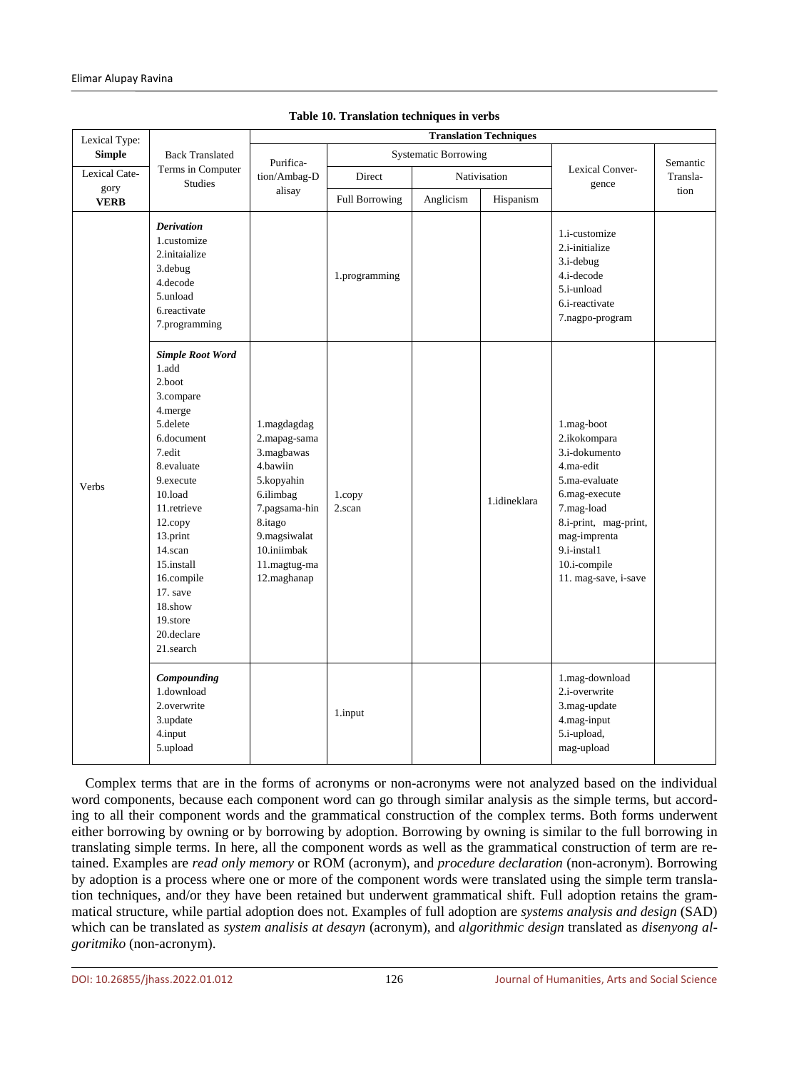| Lexical Type:<br><b>Simple</b> | <b>Back Translated</b><br>Terms in Computer<br><b>Studies</b>                                                                                                                                                                                                                           | <b>Translation Techniques</b>                                                                                                                                              |                             |              |              |                                                                                                                                                                                                          |                  |
|--------------------------------|-----------------------------------------------------------------------------------------------------------------------------------------------------------------------------------------------------------------------------------------------------------------------------------------|----------------------------------------------------------------------------------------------------------------------------------------------------------------------------|-----------------------------|--------------|--------------|----------------------------------------------------------------------------------------------------------------------------------------------------------------------------------------------------------|------------------|
|                                |                                                                                                                                                                                                                                                                                         | Purifica-                                                                                                                                                                  | <b>Systematic Borrowing</b> |              |              |                                                                                                                                                                                                          | Semantic         |
| Lexical Cate-<br>gory          |                                                                                                                                                                                                                                                                                         | tion/Ambag-D<br>alisay                                                                                                                                                     | Direct                      | Nativisation |              | Lexical Conver-<br>gence                                                                                                                                                                                 | Transla-<br>tion |
| <b>VERB</b>                    |                                                                                                                                                                                                                                                                                         |                                                                                                                                                                            | <b>Full Borrowing</b>       | Anglicism    | Hispanism    |                                                                                                                                                                                                          |                  |
| Verbs                          | <b>Derivation</b><br>1.customize<br>2.initaialize<br>3.debug<br>4.decode<br>5.unload<br>6.reactivate<br>7.programming                                                                                                                                                                   |                                                                                                                                                                            | 1.programming               |              |              | 1.i-customize<br>2.i-initialize<br>$3.i$ -debug<br>4.i-decode<br>5.i-unload<br>6.i-reactivate<br>7.nagpo-program                                                                                         |                  |
|                                | <b>Simple Root Word</b><br>1.add<br>2.boot<br>3.compare<br>4.merge<br>5.delete<br>6.document<br>7.edit<br>8.evaluate<br>9.execute<br>10.load<br>11.retrieve<br>12.copy<br>13.print<br>14.scan<br>15.install<br>16.compile<br>17. save<br>18.show<br>19.store<br>20.declare<br>21.search | 1.magdagdag<br>2.mapag-sama<br>3.magbawas<br>4.bawiin<br>5.kopyahin<br>6.ilimbag<br>7.pagsama-hin<br>8.itago<br>9.magsiwalat<br>10.iniimbak<br>11.magtug-ma<br>12.maghanap | $1$ .copy<br>2.scan         |              | 1.idineklara | 1.mag-boot<br>2.ikokompara<br>3.i-dokumento<br>4.ma-edit<br>5.ma-evaluate<br>6.mag-execute<br>7.mag-load<br>8.i-print, mag-print,<br>mag-imprenta<br>9.i-instal1<br>10.i-compile<br>11. mag-save, i-save |                  |
|                                | Compounding<br>1.download<br>2.overwrite<br>3.update<br>4.input<br>5.upload                                                                                                                                                                                                             |                                                                                                                                                                            | 1.input                     |              |              | 1.mag-download<br>2.i-overwrite<br>3.mag-update<br>4.mag-input<br>5.i-upload,<br>mag-upload                                                                                                              |                  |

**Table 10. Translation techniques in verbs**

Complex terms that are in the forms of acronyms or non-acronyms were not analyzed based on the individual word components, because each component word can go through similar analysis as the simple terms, but according to all their component words and the grammatical construction of the complex terms. Both forms underwent either borrowing by owning or by borrowing by adoption. Borrowing by owning is similar to the full borrowing in translating simple terms. In here, all the component words as well as the grammatical construction of term are retained. Examples are *read only memory* or ROM (acronym), and *procedure declaration* (non-acronym). Borrowing by adoption is a process where one or more of the component words were translated using the simple term translation techniques, and/or they have been retained but underwent grammatical shift. Full adoption retains the grammatical structure, while partial adoption does not. Examples of full adoption are *systems analysis and design* (SAD) which can be translated as *system analisis at desayn* (acronym), and *algorithmic design* translated as *disenyong algoritmiko* (non-acronym).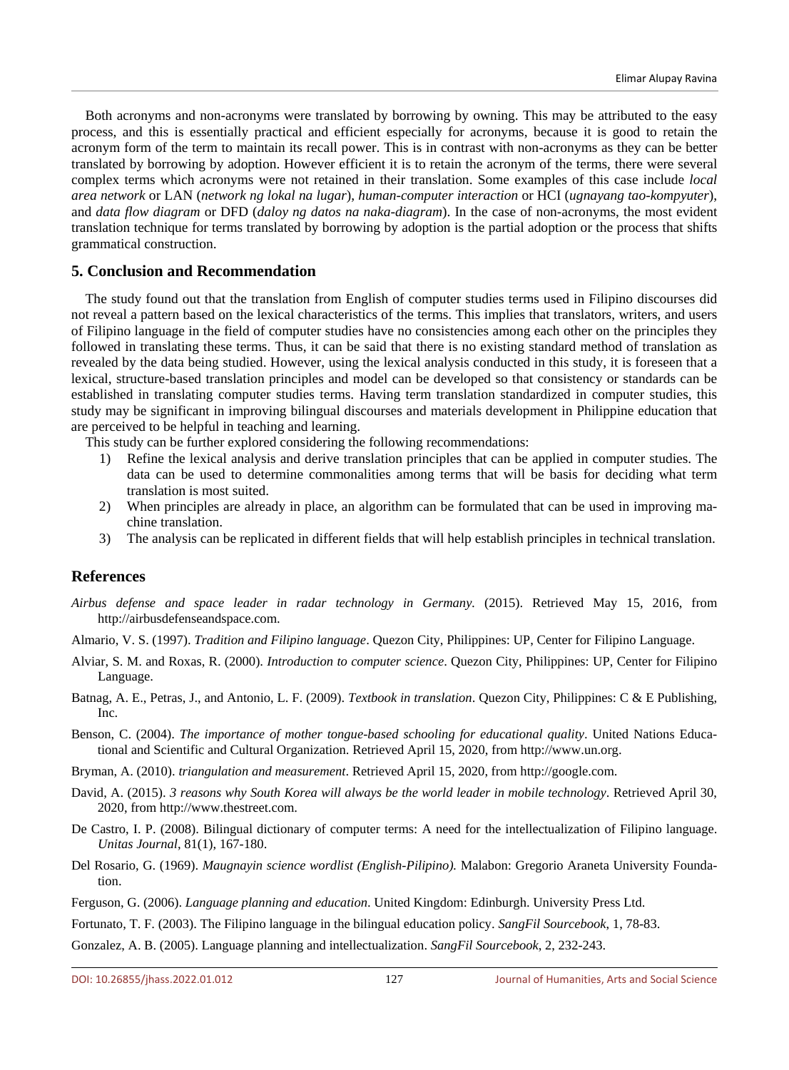Both acronyms and non-acronyms were translated by borrowing by owning. This may be attributed to the easy process, and this is essentially practical and efficient especially for acronyms, because it is good to retain the acronym form of the term to maintain its recall power. This is in contrast with non-acronyms as they can be better translated by borrowing by adoption. However efficient it is to retain the acronym of the terms, there were several complex terms which acronyms were not retained in their translation. Some examples of this case include *local area network* or LAN (*network ng lokal na lugar*), *human-computer interaction* or HCI (*ugnayang tao-kompyuter*), and *data flow diagram* or DFD (*daloy ng datos na naka-diagram*). In the case of non-acronyms, the most evident translation technique for terms translated by borrowing by adoption is the partial adoption or the process that shifts grammatical construction.

## **5. Conclusion and Recommendation**

The study found out that the translation from English of computer studies terms used in Filipino discourses did not reveal a pattern based on the lexical characteristics of the terms. This implies that translators, writers, and users of Filipino language in the field of computer studies have no consistencies among each other on the principles they followed in translating these terms. Thus, it can be said that there is no existing standard method of translation as revealed by the data being studied. However, using the lexical analysis conducted in this study, it is foreseen that a lexical, structure-based translation principles and model can be developed so that consistency or standards can be established in translating computer studies terms. Having term translation standardized in computer studies, this study may be significant in improving bilingual discourses and materials development in Philippine education that are perceived to be helpful in teaching and learning.

This study can be further explored considering the following recommendations:

- 1) Refine the lexical analysis and derive translation principles that can be applied in computer studies. The data can be used to determine commonalities among terms that will be basis for deciding what term translation is most suited.
- 2) When principles are already in place, an algorithm can be formulated that can be used in improving machine translation.
- 3) The analysis can be replicated in different fields that will help establish principles in technical translation.

## **References**

- *Airbus defense and space leader in radar technology in Germany.* (2015). Retrieved May 15, 2016, from http://airbusdefenseandspace.com.
- Almario, V. S. (1997). *Tradition and Filipino language*. Quezon City, Philippines: UP, Center for Filipino Language.
- Alviar, S. M. and Roxas, R. (2000). *Introduction to computer science*. Quezon City, Philippines: UP, Center for Filipino Language.
- Batnag, A. E., Petras, J., and Antonio, L. F. (2009). *Textbook in translation*. Quezon City, Philippines: C & E Publishing, Inc.
- Benson, C. (2004). *The importance of mother tongue-based schooling for educational quality*. United Nations Educational and Scientific and Cultural Organization. Retrieved April 15, 2020, from http://www.un.org.
- Bryman, A. (2010). *triangulation and measurement*. Retrieved April 15, 2020, from http://google.com.
- David, A. (2015). *3 reasons why South Korea will always be the world leader in mobile technology*. Retrieved April 30, 2020, from http://www.thestreet.com.
- De Castro, I. P. (2008). Bilingual dictionary of computer terms: A need for the intellectualization of Filipino language. *Unitas Journal*, 81(1), 167-180.
- Del Rosario, G. (1969). *Maugnayin science wordlist (English-Pilipino).* Malabon: Gregorio Araneta University Foundation.
- Ferguson, G. (2006). *Language planning and education*. United Kingdom: Edinburgh. University Press Ltd.

Fortunato, T. F. (2003). The Filipino language in the bilingual education policy. *SangFil Sourcebook*, 1, 78-83.

Gonzalez, A. B. (2005). Language planning and intellectualization. *SangFil Sourcebook*, 2, 232-243.